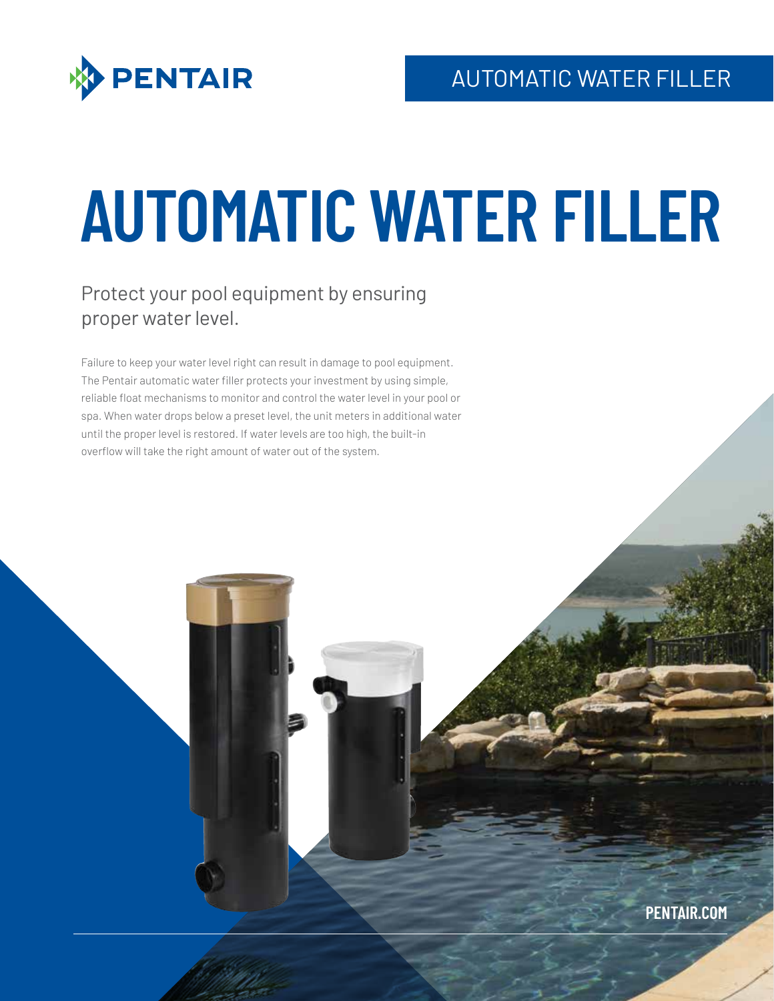

# **AUTOMATIC WATER FILLER**

# Protect your pool equipment by ensuring proper water level.

Failure to keep your water level right can result in damage to pool equipment. The Pentair automatic water filler protects your investment by using simple, reliable float mechanisms to monitor and control the water level in your pool or spa. When water drops below a preset level, the unit meters in additional water until the proper level is restored. If water levels are too high, the built-in overflow will take the right amount of water out of the system.